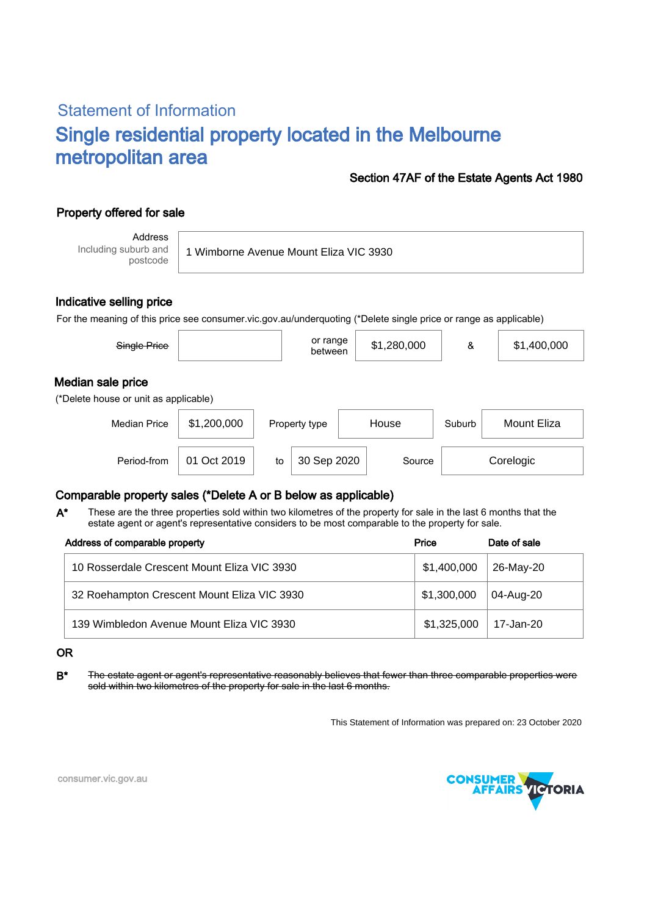# Statement of Information Single residential property located in the Melbourne metropolitan area

### Section 47AF of the Estate Agents Act 1980

## Property offered for sale

Address Including suburb and postcode

1 Wimborne Avenue Mount Eliza VIC 3930

### Indicative selling price

For the meaning of this price see consumer.vic.gov.au/underquoting (\*Delete single price or range as applicable)

| Single Price                                               |             | or range<br>between | \$1,280,000 | &      | \$1,400,000 |  |  |  |  |  |  |
|------------------------------------------------------------|-------------|---------------------|-------------|--------|-------------|--|--|--|--|--|--|
| Median sale price<br>(*Delete house or unit as applicable) |             |                     |             |        |             |  |  |  |  |  |  |
| <b>Median Price</b>                                        | \$1,200,000 | Property type       | House       | Suburb | Mount Eliza |  |  |  |  |  |  |

Period-from | 01 Oct 2019 | to | 30 Sep 2020 | Source | Corelogic

### Comparable property sales (\*Delete A or B below as applicable)

These are the three properties sold within two kilometres of the property for sale in the last 6 months that the estate agent or agent's representative considers to be most comparable to the property for sale. A\*

| Address of comparable property              | Price       | Date of sale |  |
|---------------------------------------------|-------------|--------------|--|
| 10 Rosserdale Crescent Mount Eliza VIC 3930 | \$1,400,000 | 26-May-20    |  |
| 32 Roehampton Crescent Mount Eliza VIC 3930 | \$1,300,000 | 04-Aug-20    |  |
| 139 Wimbledon Avenue Mount Eliza VIC 3930   | \$1,325,000 | 17-Jan-20    |  |

#### OR

B<sup>\*</sup> The estate agent or agent's representative reasonably believes that fewer than three comparable properties were sold within two kilometres of the property for sale in the last 6 months.

This Statement of Information was prepared on: 23 October 2020



consumer.vic.gov.au